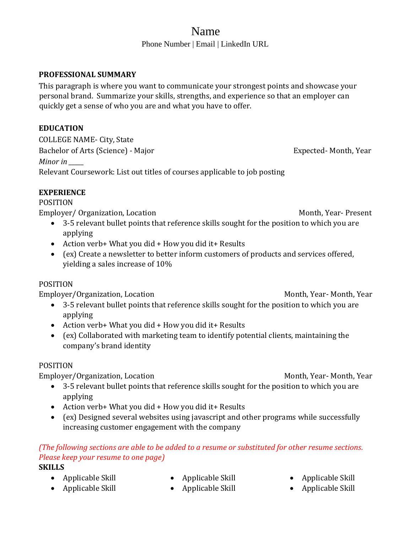# Name

Phone Number | Email | LinkedIn URL

### **PROFESSIONAL SUMMARY**

This paragraph is where you want to communicate your strongest points and showcase your personal brand. Summarize your skills, strengths, and experience so that an employer can quickly get a sense of who you are and what you have to offer.

### **EDUCATION**

COLLEGE NAME- City, State Bachelor of Arts (Science) - Major **Expected- Month, Year** Expected- Month, Year *Minor in \_\_\_\_\_* Relevant Coursework: List out titles of courses applicable to job posting

### **EXPERIENCE**

# POSITION

Employer/ Organization, Location Month, Year- Present

- 3-5 relevant bullet points that reference skills sought for the position to which you are applying
- Action verb+ What you did + How you did it+ Results
- (ex) Create a newsletter to better inform customers of products and services offered, yielding a sales increase of 10%

## POSITION

Employer/Organization, LocationMonth, Year- Month, Year

- 3-5 relevant bullet points that reference skills sought for the position to which you are applying
- Action verb+ What you did + How you did it + Results
- (ex) Collaborated with marketing team to identify potential clients, maintaining the company's brand identity

### POSITION

Employer/Organization, Location<br>
Month, Year- Month, Year

- 3-5 relevant bullet points that reference skills sought for the position to which you are applying
- Action verb+ What you did + How you did it+ Results
- (ex) Designed several websites using javascript and other programs while successfully increasing customer engagement with the company

# *(The following sections are able to be added to a resume or substituted for other resume sections. Please keep your resume to one page)*

## **SKILLS**

- Applicable Skill
- Applicable Skill
- Applicable Skill
- Applicable Skill
- Applicable Skill
- Applicable Skill